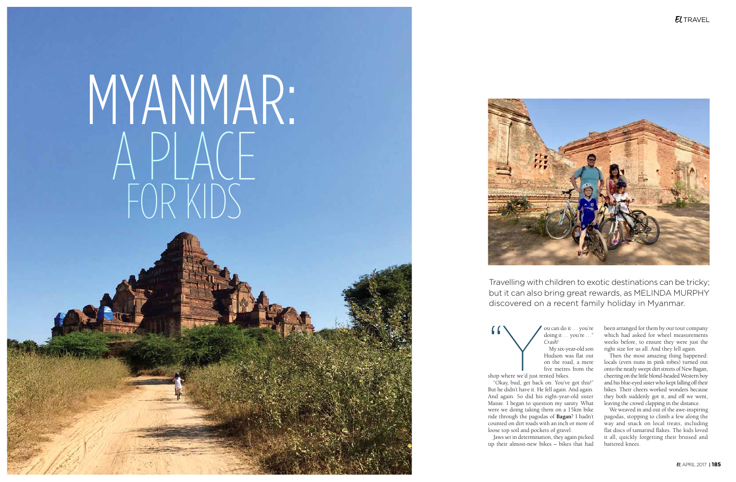The Muslim and Solution of the United States of the United States of the Shop where we'd just rented bikes. doing it … you're …" *Crash!* My six-year-old son Hudson was flat out on the road, a mere five metres from the shop where we'd just rented bikes.

"Okay, bud, get back on. You've got this!" But he didn't have it. He fell again. And again. And again. So did his eight-year-old sister Maisie. I began to question my sanity. What were we doing taking them on a 15km bike ride through the pagodas of **Bagan**? I hadn't counted on dirt roads with an inch or more of loose top soil and pockets of gravel.

Jaws set in determination, they again picked up their almost-new bikes – bikes that had

## $E$ *TRAVEL*

## MYANMAR: A PLACE FOR KIDS



Travelling with children to exotic destinations can be tricky; but it can also bring great rewards, as MELINDA MURPHY discovered on a recent family holiday in Myanmar.

> We weaved in and out of the awe-inspiring pagodas, stopping to climb a few along the way and snack on local treats, including flat discs of tamarind flakes. The kids loved it all, quickly forgetting their bruised and battered knees.

> been arranged for them by our tour company which had asked for wheel measurements weeks before, to ensure they were just the right size for us all. And they fell again.

> Then the most amazing thing happened: locals (even nuns in pink robes) turned out onto the neatly swept dirt streets of New Bagan, cheering on the little blond-headed Western boy and his blue-eyed sister who kept falling off their bikes. Their cheers worked wonders because they both suddenly got it, and off we went, leaving the crowd clapping in the distance.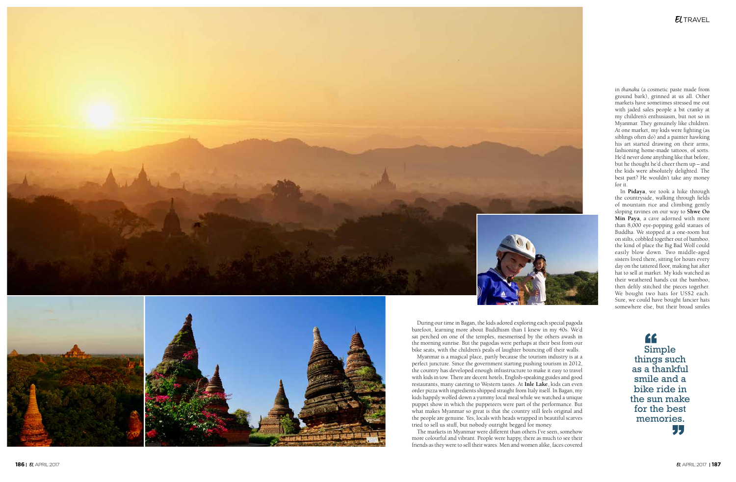



During our time in Bagan, the kids adored exploring each special pagoda barefoot, learning more about Buddhism than I knew in my 40s. We'd sat perched on one of the temples, mesmerised by the others awash in the morning sunrise. But the pagodas were perhaps at their best from our bike seats, with the children's peals of laughter bouncing off their walls.

Myanmar is a magical place, partly because the tourism industry is at a perfect juncture. Since the government starting pushing tourism in 2012, the country has developed enough infrastructure to make it easy to travel with kids in tow. There are decent hotels, English-speaking guides and good restaurants, many catering to Western tastes. At **Inle Lake**, kids can even order pizza with ingredients shipped straight from Italy itself. In Bagan, my kids happily wolfed down a yummy local meal while we watched a unique puppet show in which the puppeteers were part of the performance. But what makes Myanmar so great is that the country still feels original and the people are genuine. Yes, locals with heads wrapped in beautiful scarves tried to sell us stuff, but nobody outright begged for money.

The markets in Myanmar were different than others I've seen, somehow more colourful and vibrant. People were happy, there as much to see their friends as they were to sell their wares. Men and women alike, faces covered in *thanaka* (a cosmetic paste made from ground bark), grinned at us all. Other markets have sometimes stressed me out with jaded sales people a bit cranky at my children's enthusiasm, but not so in Myanmar. They genuinely like children. At one market, my kids were fighting (as siblings often do) and a painter hawking his art started drawing on their arms, fashioning home-made tattoos, of sorts. He'd never done anything like that before, but he thought he'd cheer them up – and the kids were absolutely delighted. The best part? He wouldn't take any money for it.

In **Pidaya**, we took a hike through the countryside, walking through fields of mountain rice and climbing gently sloping ravines on our way to **Shwe Oo Min Paya**, a cave adorned with more than 8,000 eye-popping gold statues of Buddha. We stopped at a one-room hut on stilts, cobbled together out of bamboo, the kind of place the Big Bad Wolf could easily blow down. Two middle-aged sisters lived there, sitting for hours every day on the tattered floor, making hat after hat to sell at market. My kids watched as their weathered hands cut the bamboo, then deftly stitched the pieces together. We bought two hats for US\$2 each. Sure, we could have bought fancier hats somewhere else, but their broad smiles

" Simple things such as a thankful smile and a bike ride in the sun make for the best memories.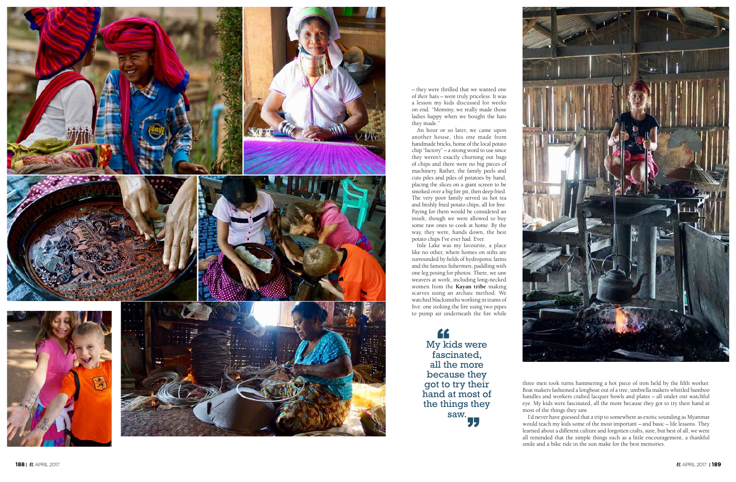



– they were thrilled that we wanted one of *their* hats – were truly priceless. It was a lesson my kids discussed for weeks on end. "Mommy, we really made those ladies happy when we bought the hats they made."

An hour or so later, we came upon another house, this one made from handmade bricks, home of the local potato chip "factory" – a strong word to use since they weren't exactly churning out bags of chips and there were no big pieces of machinery. Rather, the family peels and cuts piles and piles of potatoes by hand, placing the slices on a giant screen to be smoked over a big fire pit, then deep fried. The very poor family served us hot tea and freshly fried potato chips, all for free. Paying for them would be considered an insult, though we were allowed to buy some raw ones to cook at home. By the way, they were, hands down, the best potato chips I've ever had. Ever.

> " My kids were fascinated, all the more because they got to try their hand at most of the things they saw.

Inle Lake was my favourite, a place like no other, where homes on stilts are surrounded by fields of hydroponic farms and the famous fishermen, paddling with one leg posing for photos. There, we saw weavers at work, including long-necked women from the **Kayan tribe** making scarves using an archaic method. We watched blacksmiths working in teams of five: one stoking the fire using two pipes to pump air underneath the fire while

> three men took turns hammering a hot piece of iron held by the fifth worker. Boat makers fashioned a longboat out of a tree, umbrella makers whittled bamboo handles and workers crafted lacquer bowls and plates – all under our watchful eye. My kids were fascinated, all the more because they got to try their hand at most of the things they saw.

> I'd never have guessed that a trip to somewhere as exotic sounding as Myanmar would teach my kids some of the most important – and basic – life lessons. They learned about a different culture and forgotten crafts, sure, but best of all, we were all reminded that the simple things such as a little encouragement, a thankful smile and a bike ride in the sun make for the best memories.